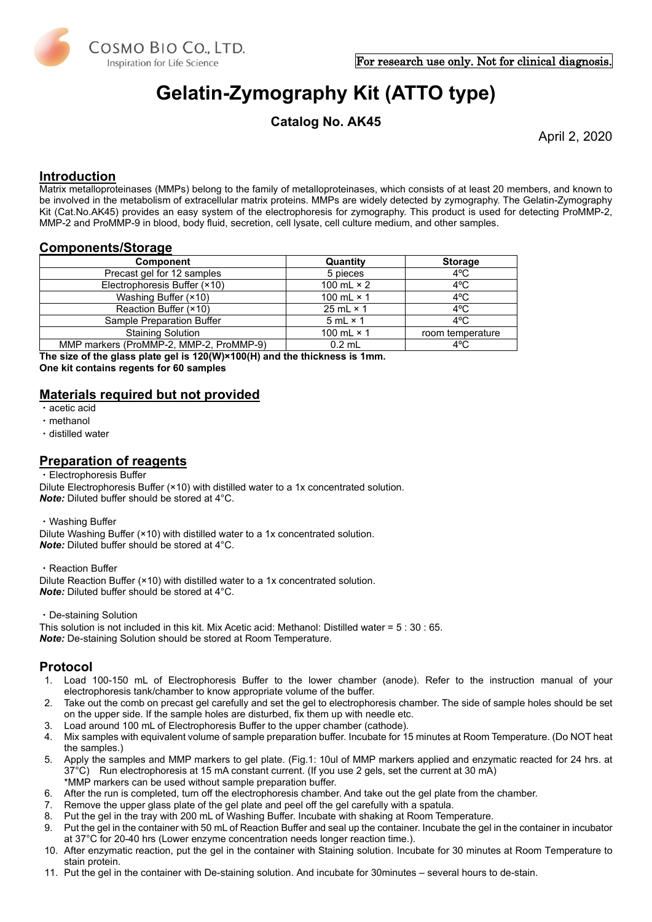

# **Gelatin-Zymography Kit (ATTO type)**

**Catalog No. AK45**

April 2, 2020

## **Introduction**

Matrix metalloproteinases (MMPs) belong to the family of metalloproteinases, which consists of at least 20 members, and known to be involved in the metabolism of [extracellular matrix](http://en.wikipedia.org/wiki/Extracellular_matrix) proteins. MMPs are widely detected by zymography. The Gelatin-Zymography Kit (Cat.No.AK45) provides an easy system of the electrophoresis for zymography. This product is used for detecting ProMMP-2, MMP-2 and ProMMP-9 in blood, body fluid, secretion, cell lysate, cell culture medium, and other samples.

## **Components/Storage**

| <b>Component</b>                        | Quantity          | <b>Storage</b>   |
|-----------------------------------------|-------------------|------------------|
| Precast gel for 12 samples              | 5 pieces          | $4^{\circ}$ C    |
| Electrophoresis Buffer (×10)            | 100 mL $\times$ 2 | $4^{\circ}$ C    |
| Washing Buffer (×10)                    | 100 mL $\times$ 1 | $4^{\circ}$ C    |
| Reaction Buffer (×10)                   | 25 mL $\times$ 1  | $4^{\circ}$ C    |
| Sample Preparation Buffer               | $5 mL \times 1$   | $4^{\circ}$ C    |
| <b>Staining Solution</b>                | 100 mL $\times$ 1 | room temperature |
| MMP markers (ProMMP-2, MMP-2, ProMMP-9) | $0.2$ mL          | 4°C              |

**The size of the glass plate gel is 120(W)×100(H) and the thickness is 1mm. One kit contains regents for 60 samples**

## **Materials required but not provided**

- ・acetic acid
- ・methanol
- ・distilled water

## **Preparation of reagents**

・Electrophoresis Buffer

Dilute Electrophoresis Buffer (×10) with distilled water to a 1x concentrated solution. *Note:* Diluted buffer should be stored at 4°C.

・Washing Buffer

Dilute Washing Buffer (×10) with distilled water to a 1x concentrated solution. *Note:* Diluted buffer should be stored at 4°C.

・Reaction Buffer

Dilute Reaction Buffer (×10) with distilled water to a 1x concentrated solution. *Note:* Diluted buffer should be stored at 4°C.

・De-staining Solution

This solution is not included in this kit. Mix Acetic acid: Methanol: Distilled water = 5 : 30 : 65. *Note:* De-staining Solution should be stored at Room Temperature.

## **Protocol**

- 1. Load 100-150 mL of Electrophoresis Buffer to the lower chamber (anode). Refer to the instruction manual of your electrophoresis tank/chamber to know appropriate volume of the buffer.
- 2. Take out the comb on precast gel carefully and set the gel to electrophoresis chamber. The side of sample holes should be set on the upper side. If the sample holes are disturbed, fix them up with needle etc.
- 3. Load around 100 mL of Electrophoresis Buffer to the upper chamber (cathode).
- 4. Mix samples with equivalent volume of sample preparation buffer. Incubate for 15 minutes at Room Temperature. (Do NOT heat the samples.)
- 5. Apply the samples and MMP markers to gel plate. (Fig.1: 10ul of MMP markers applied and enzymatic reacted for 24 hrs. at 37°C) Run electrophoresis at 15 mA constant current. (If you use 2 gels, set the current at 30 mA) \*MMP markers can be used without sample preparation buffer.
- 6. After the run is completed, turn off the electrophoresis chamber. And take out the gel plate from the chamber.
- 7. Remove the upper glass plate of the gel plate and peel off the gel carefully with a spatula.
- 
- 8. Put the gel in the tray with 200 mL of Washing Buffer. Incubate with shaking at Room Temperature.<br>9. Put the gel in the container with 50 mL of Reaction Buffer and seal up the container. Incubate the gel Put the gel in the container with 50 mL of Reaction Buffer and seal up the container. Incubate the gel in the container in incubator at 37°C for 20-40 hrs (Lower enzyme concentration needs longer reaction time.).
- 10. After enzymatic reaction, put the gel in the container with Staining solution. Incubate for 30 minutes at Room Temperature to stain protein.
- 11. Put the gel in the container with De-staining solution. And incubate for 30minutes several hours to de-stain.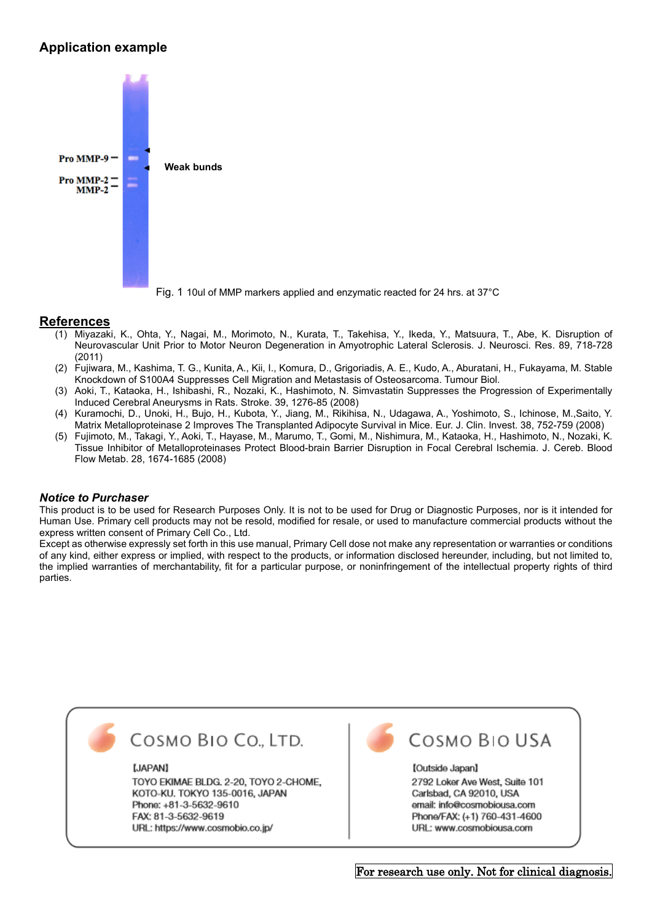# **Application example**



Fig. 1 10ul of MMP markers applied and enzymatic reacted for 24 hrs. at 37°C

## **References**

- (1) Miyazaki, K., Ohta, Y., Nagai, M., Morimoto, N., Kurata, T., Takehisa, Y., Ikeda, Y., Matsuura, T., Abe, K. Disruption of Neurovascular Unit Prior to Motor Neuron Degeneration in Amyotrophic Lateral Sclerosis. J. Neurosci. Res. 89, 718-728 (2011)
- (2) Fujiwara, M., Kashima, T. G., Kunita, A., Kii, I., Komura, D., Grigoriadis, A. E., Kudo, A., Aburatani, H., Fukayama, M. Stable Knockdown of S100A4 Suppresses Cell Migration and Metastasis of Osteosarcoma. Tumour Biol.
- (3) Aoki, T., Kataoka, H., Ishibashi, R., Nozaki, K., Hashimoto, N. Simvastatin Suppresses the Progression of Experimentally Induced Cerebral Aneurysms in Rats. Stroke. 39, 1276-85 (2008)
- (4) Kuramochi, D., Unoki, H., Bujo, H., Kubota, Y., Jiang, M., Rikihisa, N., Udagawa, A., Yoshimoto, S., Ichinose, M.,Saito, Y. Matrix Metalloproteinase 2 Improves The Transplanted Adipocyte Survival in Mice. Eur. J. Clin. Invest. 38, 752-759 (2008)
- (5) Fujimoto, M., Takagi, Y., Aoki, T., Hayase, M., Marumo, T., Gomi, M., Nishimura, M., Kataoka, H., Hashimoto, N., Nozaki, K. Tissue Inhibitor of Metalloproteinases Protect Blood-brain Barrier Disruption in Focal Cerebral Ischemia. J. Cereb. Blood Flow Metab. 28, 1674-1685 (2008)

#### *Notice to Purchaser*

This product is to be used for Research Purposes Only. It is not to be used for Drug or Diagnostic Purposes, nor is it intended for Human Use. Primary cell products may not be resold, modified for resale, or used to manufacture commercial products without the express written consent of Primary Cell Co., Ltd.

Except as otherwise expressly set forth in this use manual, Primary Cell dose not make any representation or warranties or conditions of any kind, either express or implied, with respect to the products, or information disclosed hereunder, including, but not limited to, the implied warranties of merchantability, fit for a particular purpose, or noninfringement of the intellectual property rights of third parties.



# COSMO BIO CO., LTD.

#### [JAPAN]

TOYO EKIMAE BLDG. 2-20, TOYO 2-CHOME, KOTO-KU. TOKYO 135-0016, JAPAN Phone: +81-3-5632-9610 FAX: 81-3-5632-9619 URL: https://www.cosmobio.co.jp/



# COSMO BIO USA

#### [Outside Japan]

2792 Loker Ave West, Suite 101 Carlsbad, CA 92010, USA email: info@cosmobiousa.com Phone/FAX: (+1) 760-431-4600 URL: www.cosmobiousa.com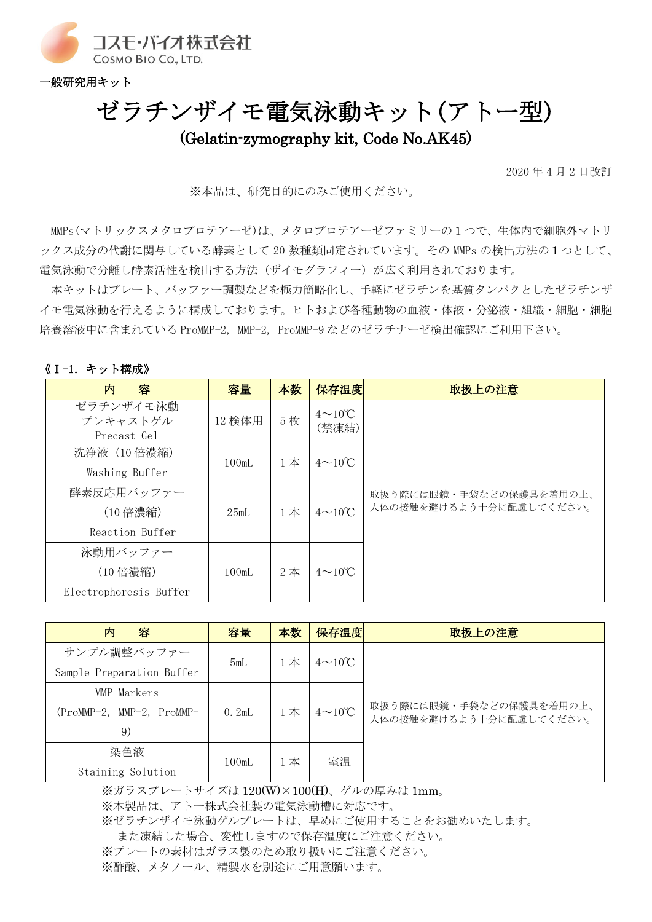

一般研究用キット

# ゼラチンザイモ電気泳動キット(アトー型) (Gelatin-zymography kit, Code No.AK45)

2020 年 4 月 2 日改訂

※本品は、研究目的にのみご使用ください。

MMPs(マトリックスメタロプロテアーゼ)は、メタロプロテアーゼファミリーの1つで、生体内で細胞外マトリ ックス成分の代謝に関与している酵素として 20 数種類同定されています。その MMPs の検出方法の1つとして、 電気泳動で分離し酵素活性を検出する方法(ザイモグラフィー)が広く利用されております。

本キットはプレート、バッファー調製などを極力簡略化し、手軽にゼラチンを基質タンパクとしたゼラチンザ イモ電気泳動を行えるように構成しております。ヒトおよび各種動物の血液・体液・分泌液・組織・細胞・細胞 培養溶液中に含まれている ProMMP-2, MMP-2, ProMMP-9 などのゼラチナーゼ検出確認にご利用下さい。

### 《Ⅰ-1. キット構成》

| 内<br>容                               | 容量     | 本数                           | 保存温度                          | 取扱上の注意                  |
|--------------------------------------|--------|------------------------------|-------------------------------|-------------------------|
| ゼラチンザイモ泳動<br>プレキャストゲル<br>Precast Gel | 12 検体用 | 5枚                           | $4 \sim 10^{\circ}C$<br>(禁凍結) |                         |
| 洗浄液 (10 倍濃縮)                         | 100mL  | $4\sim10^{\circ}$ C<br>$1$ 本 |                               |                         |
| Washing Buffer                       |        |                              |                               |                         |
| 酵素反応用バッファー                           |        |                              |                               | 取扱う際には眼鏡・手袋などの保護具を着用の上、 |
| (10 倍濃縮)                             | 25mL   | $1$ 本                        | $4 \sim 10^{\circ}C$          | 人体の接触を避けるよう十分に配慮してください。 |
| Reaction Buffer                      |        |                              |                               |                         |
| 泳動用バッファー                             |        |                              |                               |                         |
| (10 倍濃縮)                             | 100mL  | $2$ 本                        | $4\sim10^{\circ}$ C           |                         |
| Electrophoresis Buffer               |        |                              |                               |                         |

| 内<br>容                    | 容量    | 本数    | 保存温度                | 取扱上の注意                                             |
|---------------------------|-------|-------|---------------------|----------------------------------------------------|
| サンプル調整バッファー               | 5mL   | $1$ 本 | $4\sim10^{\circ}$ C |                                                    |
| Sample Preparation Buffer |       |       |                     |                                                    |
| MMP Markers               |       |       |                     |                                                    |
| (ProMMP-2, MMP-2, ProMMP- | 0.2mL | 1本    | $4\sim10^{\circ}$ C | 取扱う際には眼鏡・手袋などの保護具を着用の上、<br>人体の接触を避けるよう十分に配慮してください。 |
| 9)                        |       |       |                     |                                                    |
| 染色液                       | 100mL | 1 本   | 室温                  |                                                    |
| Staining Solution         |       |       |                     |                                                    |

※ガラスプレートサイズは 120(W)×100(H)、ゲルの厚みは 1mm。 ※本製品は、アトー株式会社製の電気泳動槽に対応です。 ※ゼラチンザイモ泳動ゲルプレートは、早めにご使用することをお勧めいたします。 また凍結した場合、変性しますので保存温度にご注意ください。 ※プレートの素材はガラス製のため取り扱いにご注意ください。 ※酢酸、メタノール、精製水を別途にご用意願います。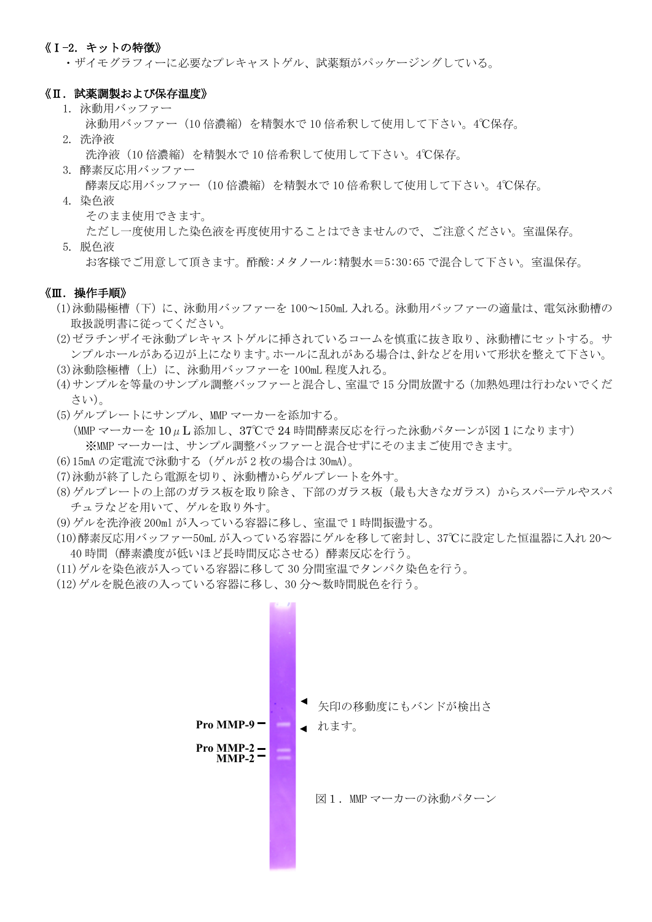### 《Ⅰ-2. キットの特徴》

・ザイモグラフィーに必要なプレキャストゲル、試薬類がパッケージングしている。

#### 《Ⅱ. 試薬調製および保存温度》

- 1. 泳動用バッファー
	- 泳動用バッファー(10 倍濃縮)を精製水で 10 倍希釈して使用して下さい。4℃保存。
- 2. 洗浄液
	- 洗浄液(10倍濃縮)を精製水で 10 倍希釈して使用して下さい。4℃保存。
- 3. 酵素反応用バッファー 酵素反応用バッファー(10 倍濃縮)を精製水で 10 倍希釈して使用して下さい。4℃保存。
- 4. 染色液
	- そのまま使用できます。
- ただし一度使用した染色液を再度使用することはできませんので、ご注意ください。室温保存。 5. 脱色液
	- お客様でご用意して頂きます。酢酸:メタノール:精製水=5:30:65 で混合して下さい。室温保存。

#### 《Ⅲ.操作手順》

- (1)泳動陽極槽(下)に、泳動用バッファーを 100~150mL 入れる。泳動用バッファーの適量は、電気泳動槽の 取扱説明書に従ってください。
- (2)ゼラチンザイモ泳動プレキャストゲルに挿されているコームを慎重に抜き取り、泳動槽にセットする。サ ンプルホールがある辺が上になります。ホールに乱れがある場合は、針などを用いて形状を整えて下さい。
- (3)泳動陰極槽(上)に、泳動用バッファーを 100mL 程度入れる。
- (4)サンプルを等量のサンプル調整バッファーと混合し、室温で 15 分間放置する(加熱処理は行わないでくだ さい)。
- (5)ゲルプレートにサンプル、MMP マーカーを添加する。 (MMP マーカーを 10μL 添加し、37℃で 24 時間酵素反応を行った泳動パターンが図 1 になります) ※MMP マーカーは、サンプル調整バッファーと混合せずにそのままご使用できます。
- (6)15mA の定電流で泳動する(ゲルが 2 枚の場合は 30mA)。
- (7)泳動が終了したら電源を切り、泳動槽からゲルプレートを外す。
- (8) ゲルプレートの上部のガラス板を取り除き、下部のガラス板(最も大きなガラス)からスパーテルやスパ チュラなどを用いて、ゲルを取り外す。
- (9)ゲルを洗浄液 200ml が入っている容器に移し、室温で 1 時間振盪する。
- (10)酵素反応用バッファー50mL が入っている容器にゲルを移して密封し、37℃に設定した恒温器に入れ 20~ 40 時間(酵素濃度が低いほど長時間反応させる)酵素反応を行う。
- (11)ゲルを染色液が入っている容器に移して 30 分間室温でタンパク染色を行う。
- (12)ゲルを脱色液の入っている容器に移し、30 分~数時間脱色を行う。